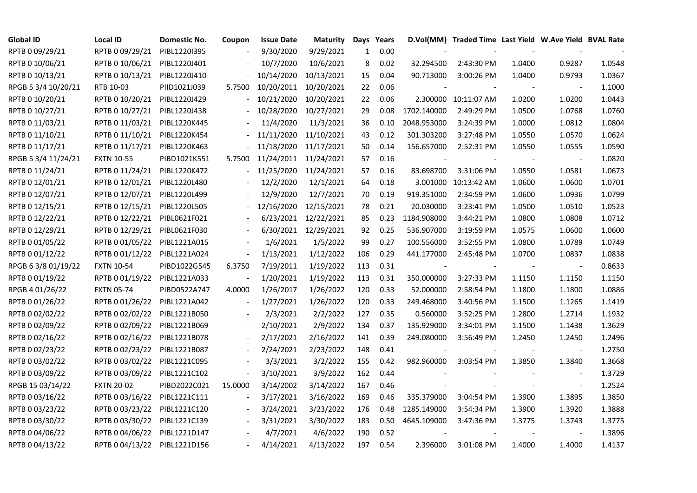| <b>Global ID</b>    | Local ID                     | Domestic No. | Coupon                   | <b>Issue Date</b> | <b>Maturity</b> |     | Days Years |             | D.Vol(MM) Traded Time Last Yield W.Ave Yield BVAL Rate |        |                          |        |
|---------------------|------------------------------|--------------|--------------------------|-------------------|-----------------|-----|------------|-------------|--------------------------------------------------------|--------|--------------------------|--------|
| RPTB 0 09/29/21     | RPTB 0 09/29/21              | PIBL1220I395 |                          | 9/30/2020         | 9/29/2021       | 1   | 0.00       |             |                                                        |        |                          |        |
| RPTB 0 10/06/21     | RPTB 0 10/06/21              | PIBL1220J401 |                          | 10/7/2020         | 10/6/2021       | 8   | 0.02       | 32.294500   | 2:43:30 PM                                             | 1.0400 | 0.9287                   | 1.0548 |
| RPTB 0 10/13/21     | RPTB 0 10/13/21              | PIBL1220J410 |                          | 10/14/2020        | 10/13/2021      | 15  | 0.04       | 90.713000   | 3:00:26 PM                                             | 1.0400 | 0.9793                   | 1.0367 |
| RPGB 5 3/4 10/20/21 | RTB 10-03                    | PIID1021J039 | 5.7500                   | 10/20/2011        | 10/20/2021      | 22  | 0.06       |             |                                                        |        | $\overline{\phantom{a}}$ | 1.1000 |
| RPTB 0 10/20/21     | RPTB 0 10/20/21              | PIBL1220J429 |                          | 10/21/2020        | 10/20/2021      | 22  | 0.06       |             | 2.300000 10:11:07 AM                                   | 1.0200 | 1.0200                   | 1.0443 |
| RPTB 0 10/27/21     | RPTB 0 10/27/21              | PIBL1220J438 |                          | 10/28/2020        | 10/27/2021      | 29  | 0.08       | 1702.140000 | 2:49:29 PM                                             | 1.0500 | 1.0768                   | 1.0760 |
| RPTB 0 11/03/21     | RPTB 0 11/03/21              | PIBL1220K445 |                          | 11/4/2020         | 11/3/2021       | 36  | 0.10       | 2048.953000 | 3:24:39 PM                                             | 1.0000 | 1.0812                   | 1.0804 |
| RPTB 0 11/10/21     | RPTB 0 11/10/21              | PIBL1220K454 |                          | 11/11/2020        | 11/10/2021      | 43  | 0.12       | 301.303200  | 3:27:48 PM                                             | 1.0550 | 1.0570                   | 1.0624 |
| RPTB 0 11/17/21     | RPTB 0 11/17/21              | PIBL1220K463 |                          | 11/18/2020        | 11/17/2021      | 50  | 0.14       | 156.657000  | 2:52:31 PM                                             | 1.0550 | 1.0555                   | 1.0590 |
| RPGB 5 3/4 11/24/21 | <b>FXTN 10-55</b>            | PIBD1021K551 | 5.7500                   | 11/24/2011        | 11/24/2021      | 57  | 0.16       |             |                                                        |        | $\overline{\phantom{a}}$ | 1.0820 |
| RPTB 0 11/24/21     | RPTB 0 11/24/21              | PIBL1220K472 |                          | 11/25/2020        | 11/24/2021      | 57  | 0.16       | 83.698700   | 3:31:06 PM                                             | 1.0550 | 1.0581                   | 1.0673 |
| RPTB 0 12/01/21     | RPTB 0 12/01/21              | PIBL1220L480 |                          | 12/2/2020         | 12/1/2021       | 64  | 0.18       | 3.001000    | 10:13:42 AM                                            | 1.0600 | 1.0600                   | 1.0701 |
| RPTB 0 12/07/21     | RPTB 0 12/07/21              | PIBL1220L499 |                          | 12/9/2020         | 12/7/2021       | 70  | 0.19       | 919.351000  | 2:34:59 PM                                             | 1.0600 | 1.0936                   | 1.0799 |
| RPTB 0 12/15/21     | RPTB 0 12/15/21              | PIBL1220L505 |                          | 12/16/2020        | 12/15/2021      | 78  | 0.21       | 20.030000   | 3:23:41 PM                                             | 1.0500 | 1.0510                   | 1.0523 |
| RPTB 0 12/22/21     | RPTB 0 12/22/21              | PIBL0621F021 |                          | 6/23/2021         | 12/22/2021      | 85  | 0.23       | 1184.908000 | 3:44:21 PM                                             | 1.0800 | 1.0808                   | 1.0712 |
| RPTB 0 12/29/21     | RPTB 0 12/29/21              | PIBL0621F030 |                          | 6/30/2021         | 12/29/2021      | 92  | 0.25       | 536.907000  | 3:19:59 PM                                             | 1.0575 | 1.0600                   | 1.0600 |
| RPTB 0 01/05/22     | RPTB 0 01/05/22              | PIBL1221A015 |                          | 1/6/2021          | 1/5/2022        | 99  | 0.27       | 100.556000  | 3:52:55 PM                                             | 1.0800 | 1.0789                   | 1.0749 |
| RPTB 0 01/12/22     | RPTB 0 01/12/22              | PIBL1221A024 | $\blacksquare$           | 1/13/2021         | 1/12/2022       | 106 | 0.29       | 441.177000  | 2:45:48 PM                                             | 1.0700 | 1.0837                   | 1.0838 |
| RPGB 63/8 01/19/22  | <b>FXTN 10-54</b>            | PIBD1022G545 | 6.3750                   | 7/19/2011         | 1/19/2022       | 113 | 0.31       |             |                                                        |        | $\overline{\phantom{a}}$ | 0.8633 |
| RPTB 0 01/19/22     | RPTB 0 01/19/22              | PIBL1221A033 |                          | 1/20/2021         | 1/19/2022       | 113 | 0.31       | 350.000000  | 3:27:33 PM                                             | 1.1150 | 1.1150                   | 1.1150 |
| RPGB 4 01/26/22     | <b>FXTN 05-74</b>            | PIBD0522A747 | 4.0000                   | 1/26/2017         | 1/26/2022       | 120 | 0.33       | 52.000000   | 2:58:54 PM                                             | 1.1800 | 1.1800                   | 1.0886 |
| RPTB 0 01/26/22     | RPTB 0 01/26/22              | PIBL1221A042 |                          | 1/27/2021         | 1/26/2022       | 120 | 0.33       | 249.468000  | 3:40:56 PM                                             | 1.1500 | 1.1265                   | 1.1419 |
| RPTB 0 02/02/22     | RPTB 0 02/02/22              | PIBL1221B050 |                          | 2/3/2021          | 2/2/2022        | 127 | 0.35       | 0.560000    | 3:52:25 PM                                             | 1.2800 | 1.2714                   | 1.1932 |
| RPTB 0 02/09/22     | RPTB 0 02/09/22              | PIBL1221B069 |                          | 2/10/2021         | 2/9/2022        | 134 | 0.37       | 135.929000  | 3:34:01 PM                                             | 1.1500 | 1.1438                   | 1.3629 |
| RPTB 0 02/16/22     | RPTB 0 02/16/22              | PIBL1221B078 |                          | 2/17/2021         | 2/16/2022       | 141 | 0.39       | 249.080000  | 3:56:49 PM                                             | 1.2450 | 1.2450                   | 1.2496 |
| RPTB 0 02/23/22     | RPTB 0 02/23/22              | PIBL1221B087 |                          | 2/24/2021         | 2/23/2022       | 148 | 0.41       |             |                                                        |        | $\overline{\phantom{a}}$ | 1.2750 |
| RPTB 0 03/02/22     | RPTB 0 03/02/22              | PIBL1221C095 |                          | 3/3/2021          | 3/2/2022        | 155 | 0.42       | 982.960000  | 3:03:54 PM                                             | 1.3850 | 1.3840                   | 1.3668 |
| RPTB 0 03/09/22     | RPTB 0 03/09/22              | PIBL1221C102 | $\overline{\phantom{a}}$ | 3/10/2021         | 3/9/2022        | 162 | 0.44       |             |                                                        |        | $\blacksquare$           | 1.3729 |
| RPGB 15 03/14/22    | <b>FXTN 20-02</b>            | PIBD2022C021 | 15.0000                  | 3/14/2002         | 3/14/2022       | 167 | 0.46       |             |                                                        |        | $\overline{\phantom{a}}$ | 1.2524 |
| RPTB 0 03/16/22     | RPTB 0 03/16/22              | PIBL1221C111 |                          | 3/17/2021         | 3/16/2022       | 169 | 0.46       | 335.379000  | 3:04:54 PM                                             | 1.3900 | 1.3895                   | 1.3850 |
| RPTB 0 03/23/22     | RPTB 0 03/23/22              | PIBL1221C120 |                          | 3/24/2021         | 3/23/2022       | 176 | 0.48       | 1285.149000 | 3:54:34 PM                                             | 1.3900 | 1.3920                   | 1.3888 |
| RPTB 0 03/30/22     | RPTB 0 03/30/22              | PIBL1221C139 |                          | 3/31/2021         | 3/30/2022       | 183 | 0.50       | 4645.109000 | 3:47:36 PM                                             | 1.3775 | 1.3743                   | 1.3775 |
| RPTB 0 04/06/22     | RPTB 0 04/06/22              | PIBL1221D147 |                          | 4/7/2021          | 4/6/2022        | 190 | 0.52       |             |                                                        |        |                          | 1.3896 |
| RPTB 0 04/13/22     | RPTB 0 04/13/22 PIBL1221D156 |              |                          | 4/14/2021         | 4/13/2022       | 197 | 0.54       | 2.396000    | 3:01:08 PM                                             | 1.4000 | 1.4000                   | 1.4137 |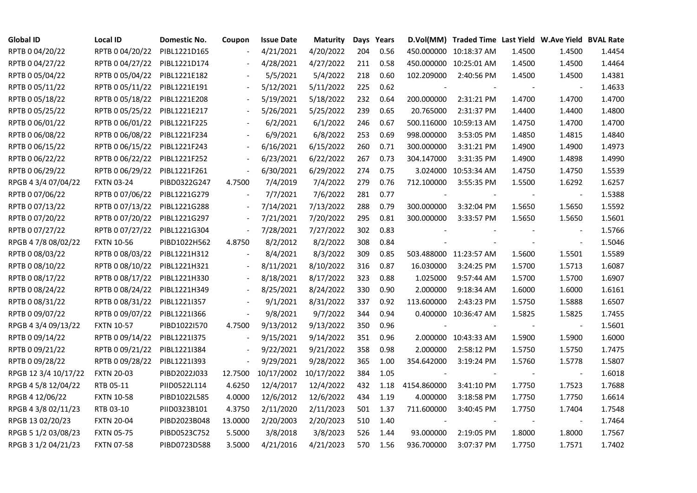| <b>Global ID</b>     | Local ID          | Domestic No. | Coupon                   | <b>Issue Date</b> | <b>Maturity</b> |     | Days Years |             | D.Vol(MM) Traded Time Last Yield W.Ave Yield BVAL Rate |        |                          |        |
|----------------------|-------------------|--------------|--------------------------|-------------------|-----------------|-----|------------|-------------|--------------------------------------------------------|--------|--------------------------|--------|
| RPTB 0 04/20/22      | RPTB 0 04/20/22   | PIBL1221D165 |                          | 4/21/2021         | 4/20/2022       | 204 | 0.56       |             | 450.000000 10:18:37 AM                                 | 1.4500 | 1.4500                   | 1.4454 |
| RPTB 0 04/27/22      | RPTB 0 04/27/22   | PIBL1221D174 |                          | 4/28/2021         | 4/27/2022       | 211 | 0.58       |             | 450.000000 10:25:01 AM                                 | 1.4500 | 1.4500                   | 1.4464 |
| RPTB 0 05/04/22      | RPTB 0 05/04/22   | PIBL1221E182 |                          | 5/5/2021          | 5/4/2022        | 218 | 0.60       | 102.209000  | 2:40:56 PM                                             | 1.4500 | 1.4500                   | 1.4381 |
| RPTB 0 05/11/22      | RPTB 0 05/11/22   | PIBL1221E191 | $\blacksquare$           | 5/12/2021         | 5/11/2022       | 225 | 0.62       |             |                                                        |        |                          | 1.4633 |
| RPTB 0 05/18/22      | RPTB 0 05/18/22   | PIBL1221E208 |                          | 5/19/2021         | 5/18/2022       | 232 | 0.64       | 200.000000  | 2:31:21 PM                                             | 1.4700 | 1.4700                   | 1.4700 |
| RPTB 0 05/25/22      | RPTB 0 05/25/22   | PIBL1221E217 |                          | 5/26/2021         | 5/25/2022       | 239 | 0.65       | 20.765000   | 2:31:37 PM                                             | 1.4400 | 1.4400                   | 1.4800 |
| RPTB 0 06/01/22      | RPTB 0 06/01/22   | PIBL1221F225 |                          | 6/2/2021          | 6/1/2022        | 246 | 0.67       |             | 500.116000 10:59:13 AM                                 | 1.4750 | 1.4700                   | 1.4700 |
| RPTB 0 06/08/22      | RPTB 0 06/08/22   | PIBL1221F234 |                          | 6/9/2021          | 6/8/2022        | 253 | 0.69       | 998.000000  | 3:53:05 PM                                             | 1.4850 | 1.4815                   | 1.4840 |
| RPTB 0 06/15/22      | RPTB 0 06/15/22   | PIBL1221F243 |                          | 6/16/2021         | 6/15/2022       | 260 | 0.71       | 300.000000  | 3:31:21 PM                                             | 1.4900 | 1.4900                   | 1.4973 |
| RPTB 0 06/22/22      | RPTB 0 06/22/22   | PIBL1221F252 | $\overline{\phantom{a}}$ | 6/23/2021         | 6/22/2022       | 267 | 0.73       | 304.147000  | 3:31:35 PM                                             | 1.4900 | 1.4898                   | 1.4990 |
| RPTB 0 06/29/22      | RPTB 0 06/29/22   | PIBL1221F261 | $\blacksquare$           | 6/30/2021         | 6/29/2022       | 274 | 0.75       |             | 3.024000 10:53:34 AM                                   | 1.4750 | 1.4750                   | 1.5539 |
| RPGB 4 3/4 07/04/22  | <b>FXTN 03-24</b> | PIBD0322G247 | 4.7500                   | 7/4/2019          | 7/4/2022        | 279 | 0.76       | 712.100000  | 3:55:35 PM                                             | 1.5500 | 1.6292                   | 1.6257 |
| RPTB 0 07/06/22      | RPTB 0 07/06/22   | PIBL1221G279 | $\blacksquare$           | 7/7/2021          | 7/6/2022        | 281 | 0.77       |             |                                                        |        | $\overline{\phantom{a}}$ | 1.5388 |
| RPTB 0 07/13/22      | RPTB 0 07/13/22   | PIBL1221G288 | $\overline{\phantom{a}}$ | 7/14/2021         | 7/13/2022       | 288 | 0.79       | 300.000000  | 3:32:04 PM                                             | 1.5650 | 1.5650                   | 1.5592 |
| RPTB 0 07/20/22      | RPTB 0 07/20/22   | PIBL1221G297 |                          | 7/21/2021         | 7/20/2022       | 295 | 0.81       | 300.000000  | 3:33:57 PM                                             | 1.5650 | 1.5650                   | 1.5601 |
| RPTB 0 07/27/22      | RPTB 0 07/27/22   | PIBL1221G304 |                          | 7/28/2021         | 7/27/2022       | 302 | 0.83       |             |                                                        |        |                          | 1.5766 |
| RPGB 4 7/8 08/02/22  | <b>FXTN 10-56</b> | PIBD1022H562 | 4.8750                   | 8/2/2012          | 8/2/2022        | 308 | 0.84       |             |                                                        |        | $\overline{\phantom{a}}$ | 1.5046 |
| RPTB 0 08/03/22      | RPTB 0 08/03/22   | PIBL1221H312 | $\blacksquare$           | 8/4/2021          | 8/3/2022        | 309 | 0.85       |             | 503.488000 11:23:57 AM                                 | 1.5600 | 1.5501                   | 1.5589 |
| RPTB 0 08/10/22      | RPTB 0 08/10/22   | PIBL1221H321 |                          | 8/11/2021         | 8/10/2022       | 316 | 0.87       | 16.030000   | 3:24:25 PM                                             | 1.5700 | 1.5713                   | 1.6087 |
| RPTB 0 08/17/22      | RPTB 0 08/17/22   | PIBL1221H330 |                          | 8/18/2021         | 8/17/2022       | 323 | 0.88       | 1.025000    | 9:57:44 AM                                             | 1.5700 | 1.5700                   | 1.6907 |
| RPTB 0 08/24/22      | RPTB 0 08/24/22   | PIBL1221H349 | $\overline{\phantom{a}}$ | 8/25/2021         | 8/24/2022       | 330 | 0.90       | 2.000000    | 9:18:34 AM                                             | 1.6000 | 1.6000                   | 1.6161 |
| RPTB 0 08/31/22      | RPTB 0 08/31/22   | PIBL1221I357 |                          | 9/1/2021          | 8/31/2022       | 337 | 0.92       | 113.600000  | 2:43:23 PM                                             | 1.5750 | 1.5888                   | 1.6507 |
| RPTB 0 09/07/22      | RPTB 0 09/07/22   | PIBL1221I366 |                          | 9/8/2021          | 9/7/2022        | 344 | 0.94       |             | 0.400000 10:36:47 AM                                   | 1.5825 | 1.5825                   | 1.7455 |
| RPGB 4 3/4 09/13/22  | <b>FXTN 10-57</b> | PIBD1022I570 | 4.7500                   | 9/13/2012         | 9/13/2022       | 350 | 0.96       |             |                                                        |        |                          | 1.5601 |
| RPTB 0 09/14/22      | RPTB 0 09/14/22   | PIBL1221I375 | $\overline{\phantom{a}}$ | 9/15/2021         | 9/14/2022       | 351 | 0.96       |             | 2.000000 10:43:33 AM                                   | 1.5900 | 1.5900                   | 1.6000 |
| RPTB 0 09/21/22      | RPTB 0 09/21/22   | PIBL1221I384 | $\overline{\phantom{a}}$ | 9/22/2021         | 9/21/2022       | 358 | 0.98       | 2.000000    | 2:58:12 PM                                             | 1.5750 | 1.5750                   | 1.7475 |
| RPTB 0 09/28/22      | RPTB 0 09/28/22   | PIBL1221I393 | $\frac{1}{2}$            | 9/29/2021         | 9/28/2022       | 365 | 1.00       | 354.642000  | 3:19:24 PM                                             | 1.5760 | 1.5778                   | 1.5807 |
| RPGB 12 3/4 10/17/22 | <b>FXTN 20-03</b> | PIBD2022J033 | 12.7500                  | 10/17/2002        | 10/17/2022      | 384 | 1.05       |             |                                                        |        | $\blacksquare$           | 1.6018 |
| RPGB 4 5/8 12/04/22  | RTB 05-11         | PIID0522L114 | 4.6250                   | 12/4/2017         | 12/4/2022       | 432 | 1.18       | 4154.860000 | 3:41:10 PM                                             | 1.7750 | 1.7523                   | 1.7688 |
| RPGB 4 12/06/22      | <b>FXTN 10-58</b> | PIBD1022L585 | 4.0000                   | 12/6/2012         | 12/6/2022       | 434 | 1.19       | 4.000000    | 3:18:58 PM                                             | 1.7750 | 1.7750                   | 1.6614 |
| RPGB 4 3/8 02/11/23  | RTB 03-10         | PIID0323B101 | 4.3750                   | 2/11/2020         | 2/11/2023       | 501 | 1.37       | 711.600000  | 3:40:45 PM                                             | 1.7750 | 1.7404                   | 1.7548 |
| RPGB 13 02/20/23     | <b>FXTN 20-04</b> | PIBD2023B048 | 13.0000                  | 2/20/2003         | 2/20/2023       | 510 | 1.40       |             |                                                        |        |                          | 1.7464 |
| RPGB 5 1/2 03/08/23  | <b>FXTN 05-75</b> | PIBD0523C752 | 5.5000                   | 3/8/2018          | 3/8/2023        | 526 | 1.44       | 93.000000   | 2:19:05 PM                                             | 1.8000 | 1.8000                   | 1.7567 |
| RPGB 3 1/2 04/21/23  | <b>FXTN 07-58</b> | PIBD0723D588 | 3.5000                   | 4/21/2016         | 4/21/2023       | 570 | 1.56       | 936.700000  | 3:07:37 PM                                             | 1.7750 | 1.7571                   | 1.7402 |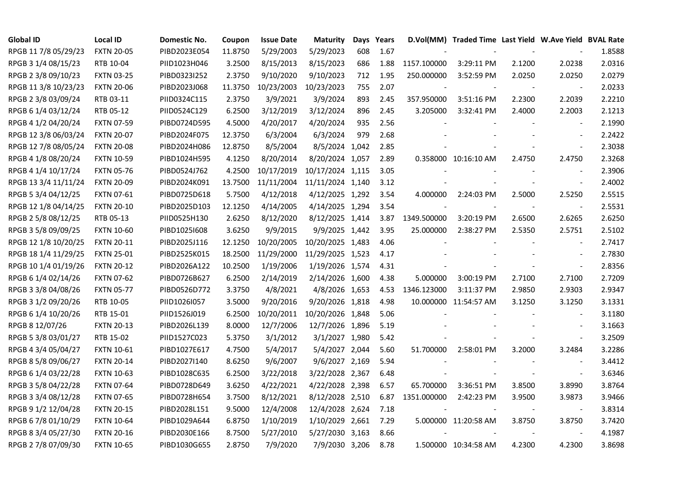| <b>Global ID</b>     | <b>Local ID</b>   | Domestic No. | Coupon  | <b>Issue Date</b> | <b>Maturity</b>  |     | Days Years |             | D.Vol(MM) Traded Time Last Yield W.Ave Yield BVAL Rate |        |                          |        |
|----------------------|-------------------|--------------|---------|-------------------|------------------|-----|------------|-------------|--------------------------------------------------------|--------|--------------------------|--------|
| RPGB 11 7/8 05/29/23 | <b>FXTN 20-05</b> | PIBD2023E054 | 11.8750 | 5/29/2003         | 5/29/2023        | 608 | 1.67       |             |                                                        |        |                          | 1.8588 |
| RPGB 3 1/4 08/15/23  | RTB 10-04         | PIID1023H046 | 3.2500  | 8/15/2013         | 8/15/2023        | 686 | 1.88       | 1157.100000 | 3:29:11 PM                                             | 2.1200 | 2.0238                   | 2.0316 |
| RPGB 2 3/8 09/10/23  | <b>FXTN 03-25</b> | PIBD0323I252 | 2.3750  | 9/10/2020         | 9/10/2023        | 712 | 1.95       | 250.000000  | 3:52:59 PM                                             | 2.0250 | 2.0250                   | 2.0279 |
| RPGB 11 3/8 10/23/23 | <b>FXTN 20-06</b> | PIBD2023J068 | 11.3750 | 10/23/2003        | 10/23/2023       | 755 | 2.07       |             |                                                        |        | $\overline{\phantom{a}}$ | 2.0233 |
| RPGB 2 3/8 03/09/24  | RTB 03-11         | PIID0324C115 | 2.3750  | 3/9/2021          | 3/9/2024         | 893 | 2.45       | 357.950000  | 3:51:16 PM                                             | 2.2300 | 2.2039                   | 2.2210 |
| RPGB 6 1/4 03/12/24  | RTB 05-12         | PIID0524C129 | 6.2500  | 3/12/2019         | 3/12/2024        | 896 | 2.45       | 3.205000    | 3:32:41 PM                                             | 2.4000 | 2.2003                   | 2.1213 |
| RPGB 4 1/2 04/20/24  | <b>FXTN 07-59</b> | PIBD0724D595 | 4.5000  | 4/20/2017         | 4/20/2024        | 935 | 2.56       |             |                                                        |        | $\blacksquare$           | 2.1990 |
| RPGB 12 3/8 06/03/24 | <b>FXTN 20-07</b> | PIBD2024F075 | 12.3750 | 6/3/2004          | 6/3/2024         | 979 | 2.68       |             |                                                        |        | $\sim$                   | 2.2422 |
| RPGB 12 7/8 08/05/24 | <b>FXTN 20-08</b> | PIBD2024H086 | 12.8750 | 8/5/2004          | 8/5/2024 1,042   |     | 2.85       |             |                                                        |        | $\overline{\phantom{a}}$ | 2.3038 |
| RPGB 4 1/8 08/20/24  | <b>FXTN 10-59</b> | PIBD1024H595 | 4.1250  | 8/20/2014         | 8/20/2024 1,057  |     | 2.89       |             | 0.358000 10:16:10 AM                                   | 2.4750 | 2.4750                   | 2.3268 |
| RPGB 4 1/4 10/17/24  | <b>FXTN 05-76</b> | PIBD0524J762 | 4.2500  | 10/17/2019        | 10/17/2024 1,115 |     | 3.05       |             |                                                        |        | $\blacksquare$           | 2.3906 |
| RPGB 13 3/4 11/11/24 | <b>FXTN 20-09</b> | PIBD2024K091 | 13.7500 | 11/11/2004        | 11/11/2024 1,140 |     | 3.12       |             |                                                        |        | $\blacksquare$           | 2.4002 |
| RPGB 5 3/4 04/12/25  | FXTN 07-61        | PIBD0725D618 | 5.7500  | 4/12/2018         | 4/12/2025 1,292  |     | 3.54       | 4.000000    | 2:24:03 PM                                             | 2.5000 | 2.5250                   | 2.5515 |
| RPGB 12 1/8 04/14/25 | <b>FXTN 20-10</b> | PIBD2025D103 | 12.1250 | 4/14/2005         | 4/14/2025 1,294  |     | 3.54       |             |                                                        |        | $\blacksquare$           | 2.5531 |
| RPGB 2 5/8 08/12/25  | RTB 05-13         | PIID0525H130 | 2.6250  | 8/12/2020         | 8/12/2025 1,414  |     | 3.87       | 1349.500000 | 3:20:19 PM                                             | 2.6500 | 2.6265                   | 2.6250 |
| RPGB 3 5/8 09/09/25  | <b>FXTN 10-60</b> | PIBD10251608 | 3.6250  | 9/9/2015          | 9/9/2025 1,442   |     | 3.95       | 25.000000   | 2:38:27 PM                                             | 2.5350 | 2.5751                   | 2.5102 |
| RPGB 12 1/8 10/20/25 | <b>FXTN 20-11</b> | PIBD2025J116 | 12.1250 | 10/20/2005        | 10/20/2025 1,483 |     | 4.06       |             |                                                        |        | $\overline{\phantom{a}}$ | 2.7417 |
| RPGB 18 1/4 11/29/25 | <b>FXTN 25-01</b> | PIBD2525K015 | 18.2500 | 11/29/2000        | 11/29/2025 1,523 |     | 4.17       |             |                                                        |        | $\blacksquare$           | 2.7830 |
| RPGB 10 1/4 01/19/26 | <b>FXTN 20-12</b> | PIBD2026A122 | 10.2500 | 1/19/2006         | 1/19/2026 1,574  |     | 4.31       |             |                                                        |        | $\blacksquare$           | 2.8356 |
| RPGB 6 1/4 02/14/26  | <b>FXTN 07-62</b> | PIBD0726B627 | 6.2500  | 2/14/2019         | 2/14/2026 1,600  |     | 4.38       | 5.000000    | 3:00:19 PM                                             | 2.7100 | 2.7100                   | 2.7209 |
| RPGB 3 3/8 04/08/26  | <b>FXTN 05-77</b> | PIBD0526D772 | 3.3750  | 4/8/2021          | 4/8/2026 1,653   |     | 4.53       | 1346.123000 | 3:11:37 PM                                             | 2.9850 | 2.9303                   | 2.9347 |
| RPGB 3 1/2 09/20/26  | RTB 10-05         | PIID1026I057 | 3.5000  | 9/20/2016         | 9/20/2026 1,818  |     | 4.98       |             | 10.000000 11:54:57 AM                                  | 3.1250 | 3.1250                   | 3.1331 |
| RPGB 6 1/4 10/20/26  | RTB 15-01         | PIID1526J019 | 6.2500  | 10/20/2011        | 10/20/2026 1,848 |     | 5.06       |             |                                                        |        |                          | 3.1180 |
| RPGB 8 12/07/26      | <b>FXTN 20-13</b> | PIBD2026L139 | 8.0000  | 12/7/2006         | 12/7/2026 1,896  |     | 5.19       |             |                                                        |        | $\sim$                   | 3.1663 |
| RPGB 5 3/8 03/01/27  | RTB 15-02         | PIID1527C023 | 5.3750  | 3/1/2012          | 3/1/2027 1,980   |     | 5.42       |             |                                                        |        | $\overline{\phantom{a}}$ | 3.2509 |
| RPGB 4 3/4 05/04/27  | <b>FXTN 10-61</b> | PIBD1027E617 | 4.7500  | 5/4/2017          | 5/4/2027 2,044   |     | 5.60       | 51.700000   | 2:58:01 PM                                             | 3.2000 | 3.2484                   | 3.2286 |
| RPGB 8 5/8 09/06/27  | <b>FXTN 20-14</b> | PIBD2027I140 | 8.6250  | 9/6/2007          | 9/6/2027 2,169   |     | 5.94       |             |                                                        |        | $\blacksquare$           | 3.4412 |
| RPGB 6 1/4 03/22/28  | <b>FXTN 10-63</b> | PIBD1028C635 | 6.2500  | 3/22/2018         | 3/22/2028 2,367  |     | 6.48       |             |                                                        |        | $\blacksquare$           | 3.6346 |
| RPGB 3 5/8 04/22/28  | <b>FXTN 07-64</b> | PIBD0728D649 | 3.6250  | 4/22/2021         | 4/22/2028 2,398  |     | 6.57       | 65.700000   | 3:36:51 PM                                             | 3.8500 | 3.8990                   | 3.8764 |
| RPGB 3 3/4 08/12/28  | <b>FXTN 07-65</b> | PIBD0728H654 | 3.7500  | 8/12/2021         | 8/12/2028 2,510  |     | 6.87       | 1351.000000 | 2:42:23 PM                                             | 3.9500 | 3.9873                   | 3.9466 |
| RPGB 9 1/2 12/04/28  | <b>FXTN 20-15</b> | PIBD2028L151 | 9.5000  | 12/4/2008         | 12/4/2028 2,624  |     | 7.18       |             |                                                        |        | $\overline{\phantom{a}}$ | 3.8314 |
| RPGB 67/8 01/10/29   | <b>FXTN 10-64</b> | PIBD1029A644 | 6.8750  | 1/10/2019         | 1/10/2029 2,661  |     | 7.29       |             | 5.000000 11:20:58 AM                                   | 3.8750 | 3.8750                   | 3.7420 |
| RPGB 8 3/4 05/27/30  | <b>FXTN 20-16</b> | PIBD2030E166 | 8.7500  | 5/27/2010         | 5/27/2030 3,163  |     | 8.66       |             |                                                        |        | $\blacksquare$           | 4.1987 |
| RPGB 2 7/8 07/09/30  | <b>FXTN 10-65</b> | PIBD1030G655 | 2.8750  | 7/9/2020          | 7/9/2030 3,206   |     | 8.78       |             | 1.500000 10:34:58 AM                                   | 4.2300 | 4.2300                   | 3.8698 |